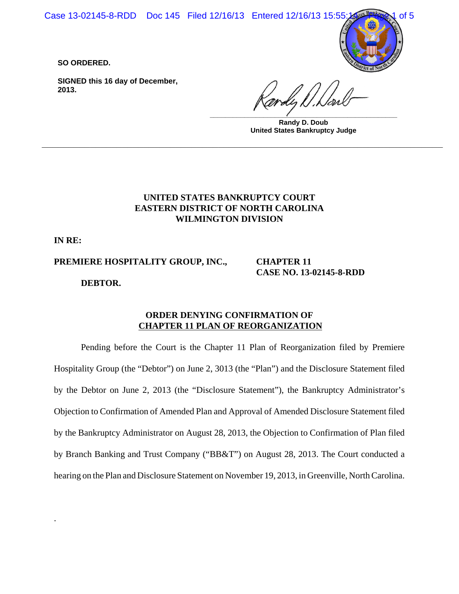Case 13-02145-8-RDD Doc 145 Filed 12/16/13 Entered 12/16/13 15:55:14

**SO ORDERED.**

**SIGNED this 16 day of December, 2013.**

**\_\_\_\_\_\_\_\_\_\_\_\_\_\_\_\_\_\_\_\_\_\_\_\_\_\_\_\_\_\_\_\_\_\_\_\_\_\_\_\_\_\_\_\_\_\_\_\_\_ Randy D. Doub United States Bankruptcy Judge**

# **UNITED STATES BANKRUPTCY COURT EASTERN DISTRICT OF NORTH CAROLINA WILMINGTON DIVISION**

**\_\_\_\_\_\_\_\_\_\_\_\_\_\_\_\_\_\_\_\_\_\_\_\_\_\_\_\_\_\_\_\_\_\_\_\_\_\_\_\_\_\_\_\_\_\_\_\_\_\_\_\_\_\_\_\_\_\_\_\_\_\_\_\_\_\_\_\_\_\_\_\_\_\_\_**

**IN RE:**

.

**PREMIERE HOSPITALITY GROUP, INC.,**

**CHAPTER 11 CASE NO. 13-02145-8-RDD**

**DEBTOR.**

### **ORDER DENYING CONFIRMATION OF CHAPTER 11 PLAN OF REORGANIZATION**

Pending before the Court is the Chapter 11 Plan of Reorganization filed by Premiere Hospitality Group (the "Debtor") on June 2, 3013 (the "Plan") and the Disclosure Statement filed by the Debtor on June 2, 2013 (the "Disclosure Statement"), the Bankruptcy Administrator's Objection to Confirmation of Amended Plan and Approval of Amended Disclosure Statement filed by the Bankruptcy Administrator on August 28, 2013, the Objection to Confirmation of Plan filed by Branch Banking and Trust Company ("BB&T") on August 28, 2013. The Court conducted a hearing on the Plan and Disclosure Statement on November 19, 2013, in Greenville, North Carolina.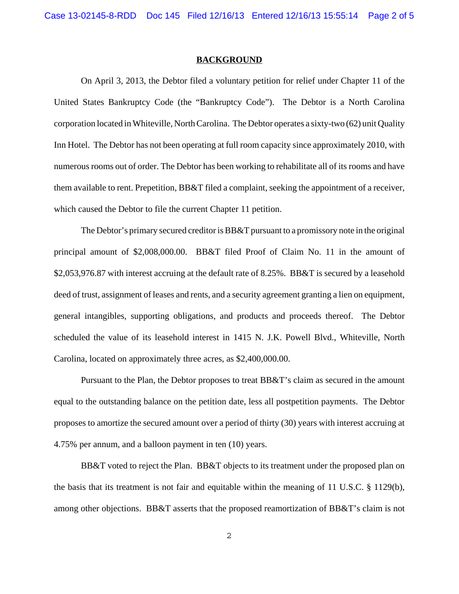#### **BACKGROUND**

On April 3, 2013, the Debtor filed a voluntary petition for relief under Chapter 11 of the United States Bankruptcy Code (the "Bankruptcy Code"). The Debtor is a North Carolina corporation located in Whiteville, North Carolina. The Debtor operates a sixty-two (62) unit Quality Inn Hotel. The Debtor has not been operating at full room capacity since approximately 2010, with numerous rooms out of order. The Debtor has been working to rehabilitate all of its rooms and have them available to rent. Prepetition, BB&T filed a complaint, seeking the appointment of a receiver, which caused the Debtor to file the current Chapter 11 petition.

The Debtor's primary secured creditor is BB&T pursuant to a promissory note in the original principal amount of \$2,008,000.00. BB&T filed Proof of Claim No. 11 in the amount of \$2,053,976.87 with interest accruing at the default rate of 8.25%. BB&T is secured by a leasehold deed of trust, assignment of leases and rents, and a security agreement granting a lien on equipment, general intangibles, supporting obligations, and products and proceeds thereof. The Debtor scheduled the value of its leasehold interest in 1415 N. J.K. Powell Blvd., Whiteville, North Carolina, located on approximately three acres, as \$2,400,000.00.

Pursuant to the Plan, the Debtor proposes to treat BB&T's claim as secured in the amount equal to the outstanding balance on the petition date, less all postpetition payments. The Debtor proposes to amortize the secured amount over a period of thirty (30) years with interest accruing at 4.75% per annum, and a balloon payment in ten (10) years.

BB&T voted to reject the Plan. BB&T objects to its treatment under the proposed plan on the basis that its treatment is not fair and equitable within the meaning of 11 U.S.C. § 1129(b), among other objections. BB&T asserts that the proposed reamortization of BB&T's claim is not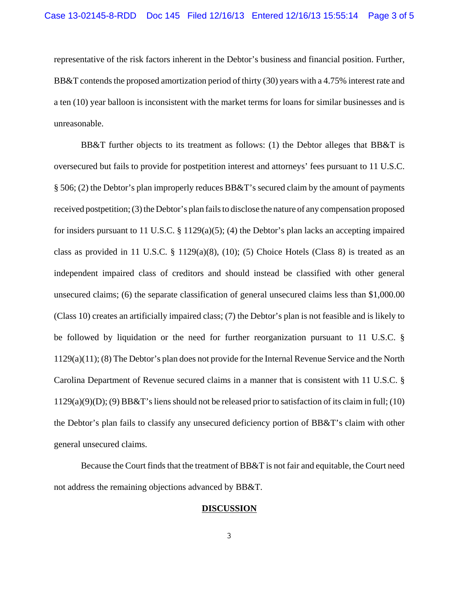representative of the risk factors inherent in the Debtor's business and financial position. Further, BB&T contends the proposed amortization period of thirty (30) years with a 4.75% interest rate and a ten (10) year balloon is inconsistent with the market terms for loans for similar businesses and is unreasonable.

BB&T further objects to its treatment as follows: (1) the Debtor alleges that BB&T is oversecured but fails to provide for postpetition interest and attorneys' fees pursuant to 11 U.S.C. § 506; (2) the Debtor's plan improperly reduces BB&T's secured claim by the amount of payments received postpetition; (3) the Debtor's plan fails to disclose the nature of any compensation proposed for insiders pursuant to 11 U.S.C. § 1129(a)(5); (4) the Debtor's plan lacks an accepting impaired class as provided in 11 U.S.C.  $\S$  1129(a)(8), (10); (5) Choice Hotels (Class 8) is treated as an independent impaired class of creditors and should instead be classified with other general unsecured claims; (6) the separate classification of general unsecured claims less than \$1,000.00 (Class 10) creates an artificially impaired class; (7) the Debtor's plan is not feasible and is likely to be followed by liquidation or the need for further reorganization pursuant to 11 U.S.C. § 1129(a)(11); (8) The Debtor's plan does not provide for the Internal Revenue Service and the North Carolina Department of Revenue secured claims in a manner that is consistent with 11 U.S.C. § 1129(a)(9)(D); (9) BB&T's liens should not be released prior to satisfaction of its claim in full; (10) the Debtor's plan fails to classify any unsecured deficiency portion of BB&T's claim with other general unsecured claims.

Because the Court finds that the treatment of BB&T is not fair and equitable, the Court need not address the remaining objections advanced by BB&T.

### **DISCUSSION**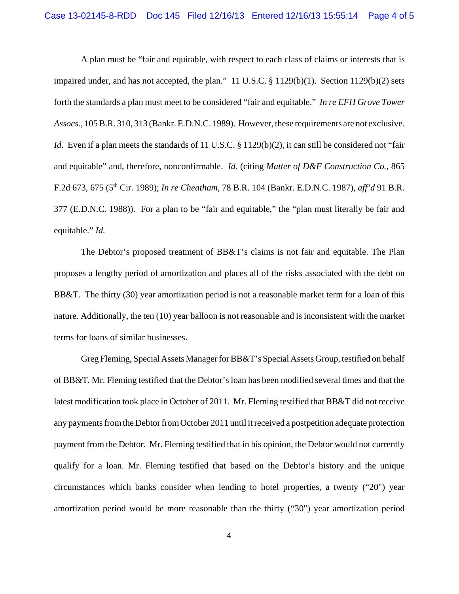A plan must be "fair and equitable, with respect to each class of claims or interests that is impaired under, and has not accepted, the plan."  $11 \text{ U.S.C.} \text{ § } 1129(b)(1)$ . Section  $1129(b)(2)$  sets forth the standards a plan must meet to be considered "fair and equitable." *In re EFH Grove Tower Assocs.*, 105 B.R. 310, 313 (Bankr. E.D.N.C. 1989). However, these requirements are not exclusive. *Id.* Even if a plan meets the standards of 11 U.S.C. § 1129(b)(2), it can still be considered not "fair and equitable" and, therefore, nonconfirmable. *Id.* (citing *Matter of D&F Construction Co.*, 865 F.2d 673, 675 (5th Cir. 1989); *In re Cheatham*, 78 B.R. 104 (Bankr. E.D.N.C. 1987), *aff'd* 91 B.R. 377 (E.D.N.C. 1988)). For a plan to be "fair and equitable," the "plan must literally be fair and equitable." *Id.*

The Debtor's proposed treatment of BB&T's claims is not fair and equitable. The Plan proposes a lengthy period of amortization and places all of the risks associated with the debt on BB&T. The thirty (30) year amortization period is not a reasonable market term for a loan of this nature. Additionally, the ten (10) year balloon is not reasonable and is inconsistent with the market terms for loans of similar businesses.

Greg Fleming, Special Assets Manager for BB&T's Special Assets Group, testified on behalf of BB&T. Mr. Fleming testified that the Debtor's loan has been modified several times and that the latest modification took place in October of 2011. Mr. Fleming testified that BB&T did not receive any payments from the Debtor from October 2011 until it received a postpetition adequate protection payment from the Debtor. Mr. Fleming testified that in his opinion, the Debtor would not currently qualify for a loan. Mr. Fleming testified that based on the Debtor's history and the unique circumstances which banks consider when lending to hotel properties, a twenty ("20") year amortization period would be more reasonable than the thirty ("30") year amortization period